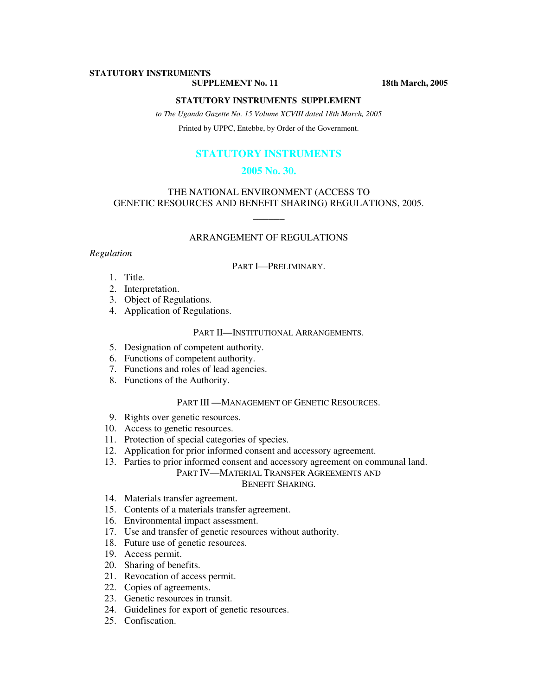# **STATUTORY INSTRUMENTS**

**SUPPLEMENT No. 11** 18th March, 2005

#### **STATUTORY INSTRUMENTS SUPPLEMENT**

*to The Uganda Gazette No. 15 Volume XCVIII dated 18th March, 2005* 

Printed by UPPC, Entebbe, by Order of the Government.

# **STATUTORY INSTRUMENTS**

### **2005 No. 30.**

# THE NATIONAL ENVIRONMENT (ACCESS TO GENETIC RESOURCES AND BENEFIT SHARING) REGULATIONS, 2005.

 $\overline{\phantom{a}}$ 

### ARRANGEMENT OF REGULATIONS

### *Regulation*

#### PART I—PRELIMINARY.

- 1. Title.
- 2. Interpretation.
- 3. Object of Regulations.
- 4. Application of Regulations.

# PART II—INSTITUTIONAL ARRANGEMENTS.

- 5. Designation of competent authority.
- 6. Functions of competent authority.
- 7. Functions and roles of lead agencies.
- 8. Functions of the Authority.

#### PART III - MANAGEMENT OF GENETIC RESOURCES.

- 9. Rights over genetic resources.
- 10. Access to genetic resources.
- 11. Protection of special categories of species.
- 12. Application for prior informed consent and accessory agreement.
- 13. Parties to prior informed consent and accessory agreement on communal land.

# PART IV—MATERIAL TRANSFER AGREEMENTS AND

### BENEFIT SHARING.

- 14. Materials transfer agreement.
- 15. Contents of a materials transfer agreement.
- 16. Environmental impact assessment.
- 17. Use and transfer of genetic resources without authority.
- 18. Future use of genetic resources.
- 19. Access permit.
- 20. Sharing of benefits.
- 21. Revocation of access permit.
- 22. Copies of agreements.
- 23. Genetic resources in transit.
- 24. Guidelines for export of genetic resources.
- 25. Confiscation.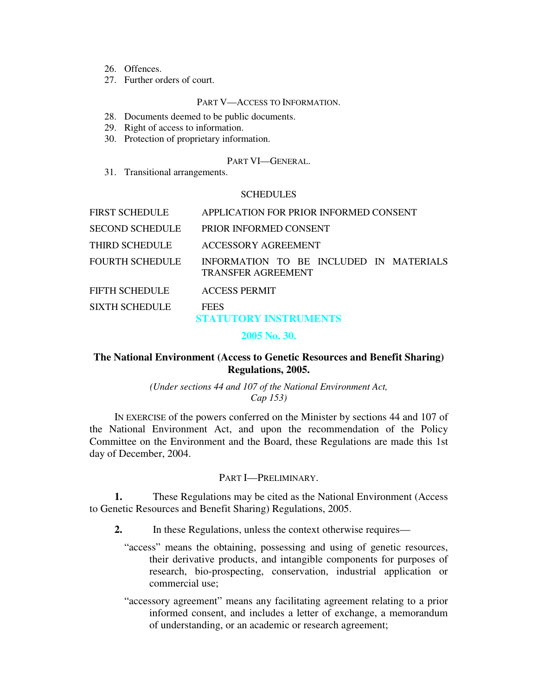- 26. Offences.
- 27. Further orders of court.

### PART V—ACCESS TO INFORMATION.

- 28. Documents deemed to be public documents.
- 29. Right of access to information.
- 30. Protection of proprietary information.

# PART VI—GENERAL.

31. Transitional arrangements.

# **SCHEDULES**

| FIRST SCHEDULE  | APPLICATION FOR PRIOR INFORMED CONSENT                               |
|-----------------|----------------------------------------------------------------------|
| SECOND SCHEDULE | PRIOR INFORMED CONSENT                                               |
| THIRD SCHEDULE  | ACCESSORY AGREEMENT                                                  |
| FOURTH SCHEDULE | INFORMATION TO BE INCLUDED IN MATERIALS<br><b>TRANSFER AGREEMENT</b> |
| FIFTH SCHEDULE  | <b>ACCESS PERMIT</b>                                                 |
| SIXTH SCHEDULE  | <b>FEES</b><br><b>STATUTORY INSTRUMENTS</b>                          |

**2005 No. 30.** 

# **The National Environment (Access to Genetic Resources and Benefit Sharing) Regulations, 2005.**

*(Under sections 44 and 107 of the National Environment Act, Cap 153)*

IN EXERCISE of the powers conferred on the Minister by sections 44 and 107 of the National Environment Act, and upon the recommendation of the Policy Committee on the Environment and the Board, these Regulations are made this 1st day of December, 2004.

# PART I—PRELIMINARY.

**1.** These Regulations may be cited as the National Environment (Access to Genetic Resources and Benefit Sharing) Regulations, 2005.

**2.** In these Regulations, unless the context otherwise requires—

- "access" means the obtaining, possessing and using of genetic resources, their derivative products, and intangible components for purposes of research, bio-prospecting, conservation, industrial application or commercial use;
- "accessory agreement" means any facilitating agreement relating to a prior informed consent, and includes a letter of exchange, a memorandum of understanding, or an academic or research agreement;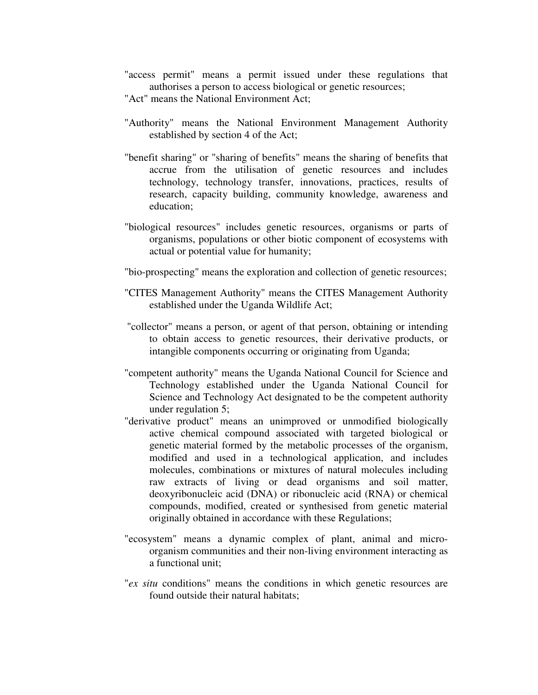- "access permit" means a permit issued under these regulations that authorises a person to access biological or genetic resources;
- "Act" means the National Environment Act;
- "Authority" means the National Environment Management Authority established by section 4 of the Act;
- "benefit sharing" or "sharing of benefits" means the sharing of benefits that accrue from the utilisation of genetic resources and includes technology, technology transfer, innovations, practices, results of research, capacity building, community knowledge, awareness and education;
- "biological resources" includes genetic resources, organisms or parts of organisms, populations or other biotic component of ecosystems with actual or potential value for humanity;
- "bio-prospecting" means the exploration and collection of genetic resources;
- "CITES Management Authority" means the CITES Management Authority established under the Uganda Wildlife Act;
- "collector" means a person, or agent of that person, obtaining or intending to obtain access to genetic resources, their derivative products, or intangible components occurring or originating from Uganda;
- "competent authority" means the Uganda National Council for Science and Technology established under the Uganda National Council for Science and Technology Act designated to be the competent authority under regulation 5;
- "derivative product" means an unimproved or unmodified biologically active chemical compound associated with targeted biological or genetic material formed by the metabolic processes of the organism, modified and used in a technological application, and includes molecules, combinations or mixtures of natural molecules including raw extracts of living or dead organisms and soil matter, deoxyribonucleic acid (DNA) or ribonucleic acid (RNA) or chemical compounds, modified, created or synthesised from genetic material originally obtained in accordance with these Regulations;
- "ecosystem" means a dynamic complex of plant, animal and microorganism communities and their non-living environment interacting as a functional unit;
- "*ex situ* conditions" means the conditions in which genetic resources are found outside their natural habitats;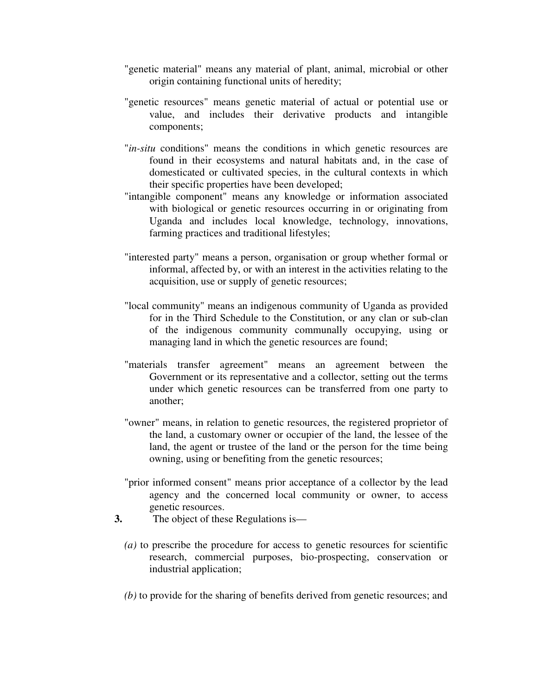- "genetic material" means any material of plant, animal, microbial or other origin containing functional units of heredity;
- "genetic resources" means genetic material of actual or potential use or value, and includes their derivative products and intangible components;
- "*in-situ* conditions" means the conditions in which genetic resources are found in their ecosystems and natural habitats and, in the case of domesticated or cultivated species, in the cultural contexts in which their specific properties have been developed;
- "intangible component" means any knowledge or information associated with biological or genetic resources occurring in or originating from Uganda and includes local knowledge, technology, innovations, farming practices and traditional lifestyles;
- "interested party" means a person, organisation or group whether formal or informal, affected by, or with an interest in the activities relating to the acquisition, use or supply of genetic resources;
- "local community" means an indigenous community of Uganda as provided for in the Third Schedule to the Constitution, or any clan or sub-clan of the indigenous community communally occupying, using or managing land in which the genetic resources are found;
- "materials transfer agreement" means an agreement between the Government or its representative and a collector, setting out the terms under which genetic resources can be transferred from one party to another;
- "owner" means, in relation to genetic resources, the registered proprietor of the land, a customary owner or occupier of the land, the lessee of the land, the agent or trustee of the land or the person for the time being owning, using or benefiting from the genetic resources;
- "prior informed consent" means prior acceptance of a collector by the lead agency and the concerned local community or owner, to access genetic resources.
- **3.** The object of these Regulations is—
	- *(a)* to prescribe the procedure for access to genetic resources for scientific research, commercial purposes, bio-prospecting, conservation or industrial application;
	- *(b)* to provide for the sharing of benefits derived from genetic resources; and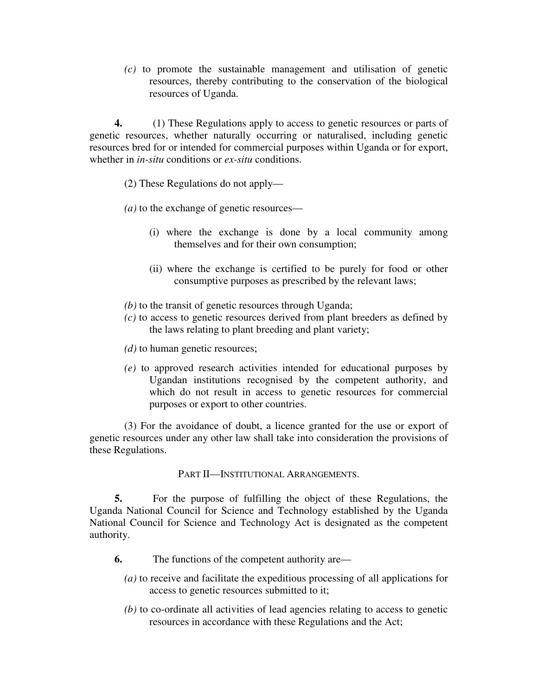*(c)* to promote the sustainable management and utilisation of genetic resources, thereby contributing to the conservation of the biological resources of Uganda.

**4.** (1) These Regulations apply to access to genetic resources or parts of genetic resources, whether naturally occurring or naturalised, including genetic resources bred for or intended for commercial purposes within Uganda or for export, whether in *in-situ* conditions or *ex-situ* conditions.

(2) These Regulations do not apply—

*(a)* to the exchange of genetic resources—

- (i) where the exchange is done by a local community among themselves and for their own consumption;
- (ii) where the exchange is certified to be purely for food or other consumptive purposes as prescribed by the relevant laws;
- *(b)* to the transit of genetic resources through Uganda;
- *(c)* to access to genetic resources derived from plant breeders as defined by the laws relating to plant breeding and plant variety;
- *(d)* to human genetic resources;
- *(e)* to approved research activities intended for educational purposes by Ugandan institutions recognised by the competent authority, and which do not result in access to genetic resources for commercial purposes or export to other countries.

(3) For the avoidance of doubt, a licence granted for the use or export of genetic resources under any other law shall take into consideration the provisions of these Regulations.

PART II—INSTITUTIONAL ARRANGEMENTS.

**5.** For the purpose of fulfilling the object of these Regulations, the Uganda National Council for Science and Technology established by the Uganda National Council for Science and Technology Act is designated as the competent authority.

- **6.** The functions of the competent authority are—
	- *(a)* to receive and facilitate the expeditious processing of all applications for access to genetic resources submitted to it;
	- *(b)* to co-ordinate all activities of lead agencies relating to access to genetic resources in accordance with these Regulations and the Act;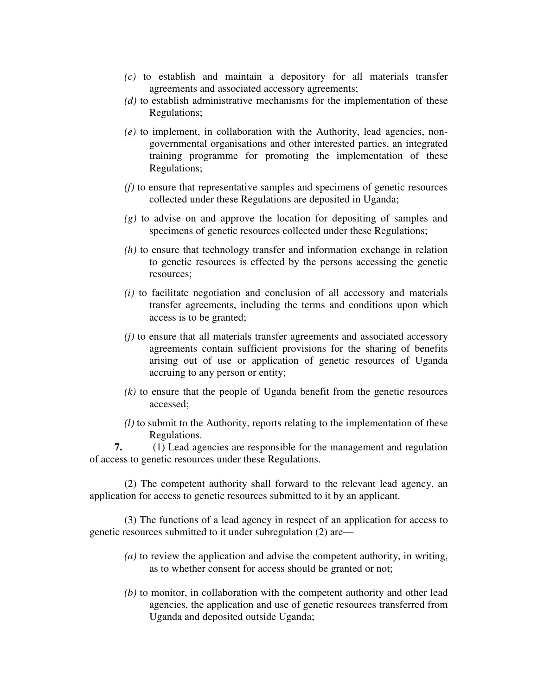- *(c)* to establish and maintain a depository for all materials transfer agreements and associated accessory agreements;
- *(d)* to establish administrative mechanisms for the implementation of these Regulations;
- *(e)* to implement, in collaboration with the Authority, lead agencies, nongovernmental organisations and other interested parties, an integrated training programme for promoting the implementation of these Regulations;
- *(f)* to ensure that representative samples and specimens of genetic resources collected under these Regulations are deposited in Uganda;
- *(g)* to advise on and approve the location for depositing of samples and specimens of genetic resources collected under these Regulations;
- *(h)* to ensure that technology transfer and information exchange in relation to genetic resources is effected by the persons accessing the genetic resources;
- *(i)* to facilitate negotiation and conclusion of all accessory and materials transfer agreements, including the terms and conditions upon which access is to be granted;
- *(j)* to ensure that all materials transfer agreements and associated accessory agreements contain sufficient provisions for the sharing of benefits arising out of use or application of genetic resources of Uganda accruing to any person or entity;
- *(k)* to ensure that the people of Uganda benefit from the genetic resources accessed;
- *(l)* to submit to the Authority, reports relating to the implementation of these Regulations.

**7.** (1) Lead agencies are responsible for the management and regulation of access to genetic resources under these Regulations.

(2) The competent authority shall forward to the relevant lead agency, an application for access to genetic resources submitted to it by an applicant.

(3) The functions of a lead agency in respect of an application for access to genetic resources submitted to it under subregulation (2) are—

- *(a)* to review the application and advise the competent authority, in writing, as to whether consent for access should be granted or not;
- *(b)* to monitor, in collaboration with the competent authority and other lead agencies, the application and use of genetic resources transferred from Uganda and deposited outside Uganda;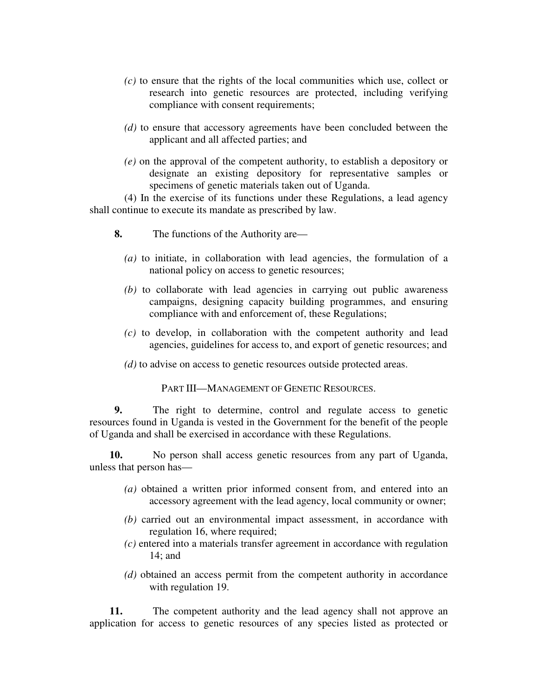- *(c)* to ensure that the rights of the local communities which use, collect or research into genetic resources are protected, including verifying compliance with consent requirements;
- *(d)* to ensure that accessory agreements have been concluded between the applicant and all affected parties; and
- *(e)* on the approval of the competent authority, to establish a depository or designate an existing depository for representative samples or specimens of genetic materials taken out of Uganda.

(4) In the exercise of its functions under these Regulations, a lead agency shall continue to execute its mandate as prescribed by law.

- **8.** The functions of the Authority are—
	- *(a)* to initiate, in collaboration with lead agencies, the formulation of a national policy on access to genetic resources;
	- *(b)* to collaborate with lead agencies in carrying out public awareness campaigns, designing capacity building programmes, and ensuring compliance with and enforcement of, these Regulations;
	- *(c)* to develop, in collaboration with the competent authority and lead agencies, guidelines for access to, and export of genetic resources; and
	- *(d)* to advise on access to genetic resources outside protected areas.

PART III—MANAGEMENT OF GENETIC RESOURCES.

**9.** The right to determine, control and regulate access to genetic resources found in Uganda is vested in the Government for the benefit of the people of Uganda and shall be exercised in accordance with these Regulations.

**10.** No person shall access genetic resources from any part of Uganda, unless that person has—

- *(a)* obtained a written prior informed consent from, and entered into an accessory agreement with the lead agency, local community or owner;
- *(b)* carried out an environmental impact assessment, in accordance with regulation 16, where required;
- *(c)* entered into a materials transfer agreement in accordance with regulation 14; and
- *(d)* obtained an access permit from the competent authority in accordance with regulation 19.

**11.** The competent authority and the lead agency shall not approve an application for access to genetic resources of any species listed as protected or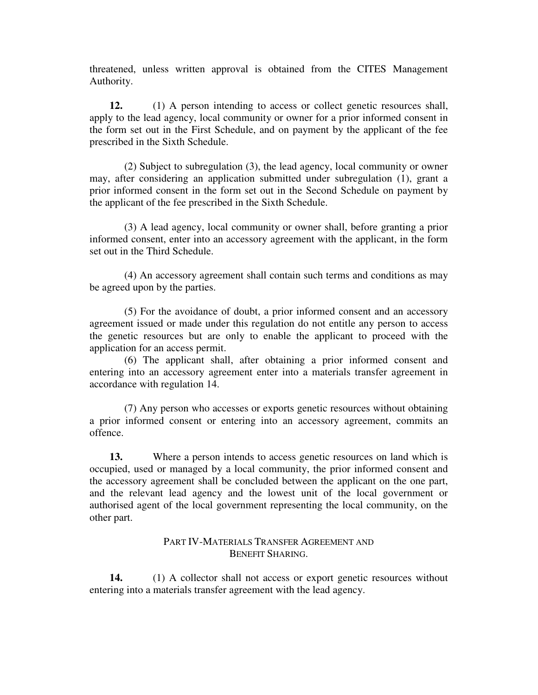threatened, unless written approval is obtained from the CITES Management Authority.

**12.** (1) A person intending to access or collect genetic resources shall, apply to the lead agency, local community or owner for a prior informed consent in the form set out in the First Schedule, and on payment by the applicant of the fee prescribed in the Sixth Schedule.

(2) Subject to subregulation (3), the lead agency, local community or owner may, after considering an application submitted under subregulation (1), grant a prior informed consent in the form set out in the Second Schedule on payment by the applicant of the fee prescribed in the Sixth Schedule.

(3) A lead agency, local community or owner shall, before granting a prior informed consent, enter into an accessory agreement with the applicant, in the form set out in the Third Schedule.

(4) An accessory agreement shall contain such terms and conditions as may be agreed upon by the parties.

(5) For the avoidance of doubt, a prior informed consent and an accessory agreement issued or made under this regulation do not entitle any person to access the genetic resources but are only to enable the applicant to proceed with the application for an access permit.

(6) The applicant shall, after obtaining a prior informed consent and entering into an accessory agreement enter into a materials transfer agreement in accordance with regulation 14.

(7) Any person who accesses or exports genetic resources without obtaining a prior informed consent or entering into an accessory agreement, commits an offence.

**13.** Where a person intends to access genetic resources on land which is occupied, used or managed by a local community, the prior informed consent and the accessory agreement shall be concluded between the applicant on the one part, and the relevant lead agency and the lowest unit of the local government or authorised agent of the local government representing the local community, on the other part.

# PART IV-MATERIALS TRANSFER AGREEMENT AND BENEFIT SHARING.

**14.** (1) A collector shall not access or export genetic resources without entering into a materials transfer agreement with the lead agency.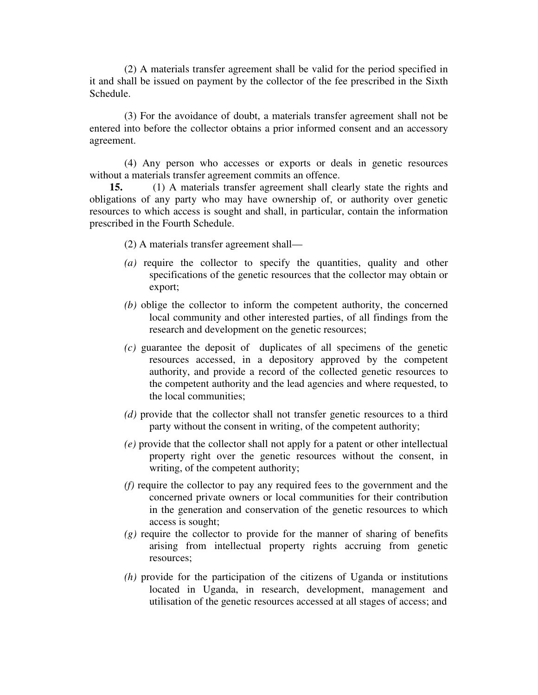(2) A materials transfer agreement shall be valid for the period specified in it and shall be issued on payment by the collector of the fee prescribed in the Sixth Schedule.

(3) For the avoidance of doubt, a materials transfer agreement shall not be entered into before the collector obtains a prior informed consent and an accessory agreement.

(4) Any person who accesses or exports or deals in genetic resources without a materials transfer agreement commits an offence.

**15.** (1) A materials transfer agreement shall clearly state the rights and obligations of any party who may have ownership of, or authority over genetic resources to which access is sought and shall, in particular, contain the information prescribed in the Fourth Schedule.

- (2) A materials transfer agreement shall—
- *(a)* require the collector to specify the quantities, quality and other specifications of the genetic resources that the collector may obtain or export;
- *(b)* oblige the collector to inform the competent authority, the concerned local community and other interested parties, of all findings from the research and development on the genetic resources;
- *(c)* guarantee the deposit of duplicates of all specimens of the genetic resources accessed, in a depository approved by the competent authority, and provide a record of the collected genetic resources to the competent authority and the lead agencies and where requested, to the local communities;
- *(d)* provide that the collector shall not transfer genetic resources to a third party without the consent in writing, of the competent authority;
- *(e)* provide that the collector shall not apply for a patent or other intellectual property right over the genetic resources without the consent, in writing, of the competent authority;
- *(f)* require the collector to pay any required fees to the government and the concerned private owners or local communities for their contribution in the generation and conservation of the genetic resources to which access is sought;
- *(g)* require the collector to provide for the manner of sharing of benefits arising from intellectual property rights accruing from genetic resources;
- *(h)* provide for the participation of the citizens of Uganda or institutions located in Uganda, in research, development, management and utilisation of the genetic resources accessed at all stages of access; and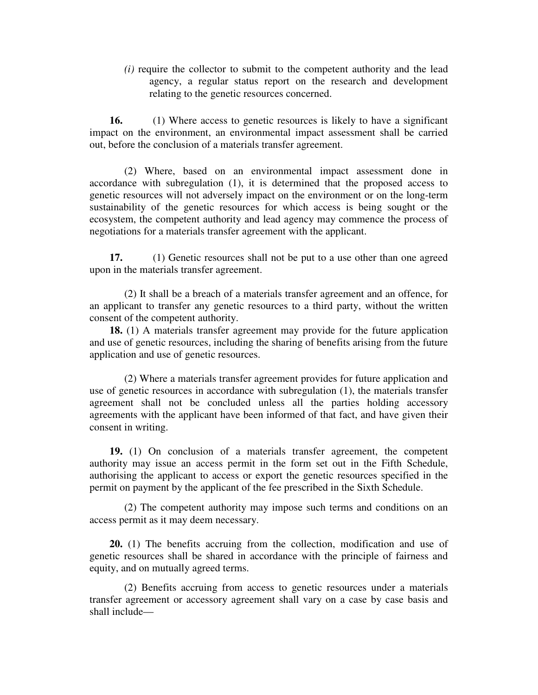*(i)* require the collector to submit to the competent authority and the lead agency, a regular status report on the research and development relating to the genetic resources concerned.

**16.** (1) Where access to genetic resources is likely to have a significant impact on the environment, an environmental impact assessment shall be carried out, before the conclusion of a materials transfer agreement.

(2) Where, based on an environmental impact assessment done in accordance with subregulation (1), it is determined that the proposed access to genetic resources will not adversely impact on the environment or on the long-term sustainability of the genetic resources for which access is being sought or the ecosystem, the competent authority and lead agency may commence the process of negotiations for a materials transfer agreement with the applicant.

**17.** (1) Genetic resources shall not be put to a use other than one agreed upon in the materials transfer agreement.

(2) It shall be a breach of a materials transfer agreement and an offence, for an applicant to transfer any genetic resources to a third party, without the written consent of the competent authority.

**18.** (1) A materials transfer agreement may provide for the future application and use of genetic resources, including the sharing of benefits arising from the future application and use of genetic resources.

(2) Where a materials transfer agreement provides for future application and use of genetic resources in accordance with subregulation (1), the materials transfer agreement shall not be concluded unless all the parties holding accessory agreements with the applicant have been informed of that fact, and have given their consent in writing.

**19.** (1) On conclusion of a materials transfer agreement, the competent authority may issue an access permit in the form set out in the Fifth Schedule, authorising the applicant to access or export the genetic resources specified in the permit on payment by the applicant of the fee prescribed in the Sixth Schedule.

(2) The competent authority may impose such terms and conditions on an access permit as it may deem necessary.

**20.** (1) The benefits accruing from the collection, modification and use of genetic resources shall be shared in accordance with the principle of fairness and equity, and on mutually agreed terms.

(2) Benefits accruing from access to genetic resources under a materials transfer agreement or accessory agreement shall vary on a case by case basis and shall include—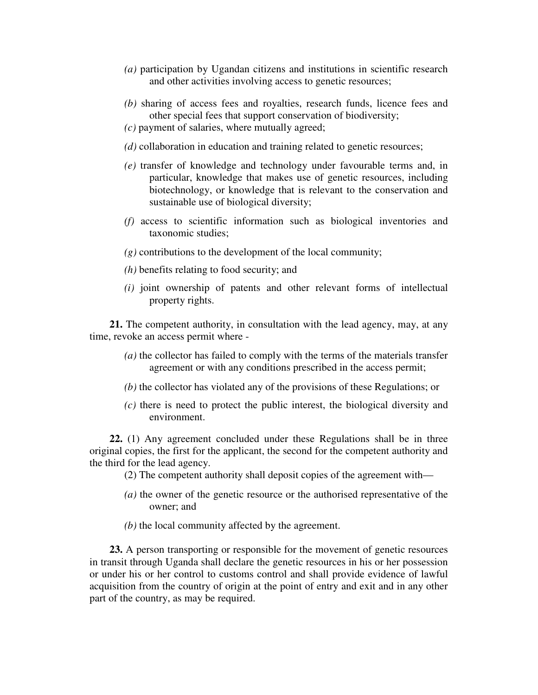- *(a)* participation by Ugandan citizens and institutions in scientific research and other activities involving access to genetic resources;
- *(b)* sharing of access fees and royalties, research funds, licence fees and other special fees that support conservation of biodiversity;
- *(c)* payment of salaries, where mutually agreed;
- *(d)* collaboration in education and training related to genetic resources;
- *(e)* transfer of knowledge and technology under favourable terms and, in particular, knowledge that makes use of genetic resources, including biotechnology, or knowledge that is relevant to the conservation and sustainable use of biological diversity;
- *(f)* access to scientific information such as biological inventories and taxonomic studies;
- $(g)$  contributions to the development of the local community;
- *(h)* benefits relating to food security; and
- *(i)* joint ownership of patents and other relevant forms of intellectual property rights.

**21.** The competent authority, in consultation with the lead agency, may, at any time, revoke an access permit where -

- *(a)* the collector has failed to comply with the terms of the materials transfer agreement or with any conditions prescribed in the access permit;
- *(b)* the collector has violated any of the provisions of these Regulations; or
- *(c)* there is need to protect the public interest, the biological diversity and environment.

**22.** (1) Any agreement concluded under these Regulations shall be in three original copies, the first for the applicant, the second for the competent authority and the third for the lead agency.

- (2) The competent authority shall deposit copies of the agreement with—
- *(a)* the owner of the genetic resource or the authorised representative of the owner; and
- *(b)* the local community affected by the agreement.

**23.** A person transporting or responsible for the movement of genetic resources in transit through Uganda shall declare the genetic resources in his or her possession or under his or her control to customs control and shall provide evidence of lawful acquisition from the country of origin at the point of entry and exit and in any other part of the country, as may be required.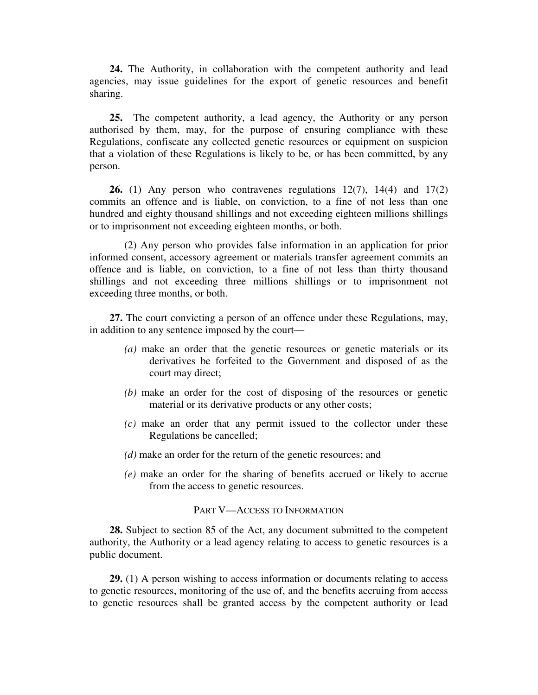**24.** The Authority, in collaboration with the competent authority and lead agencies, may issue guidelines for the export of genetic resources and benefit sharing.

**25.** The competent authority, a lead agency, the Authority or any person authorised by them, may, for the purpose of ensuring compliance with these Regulations, confiscate any collected genetic resources or equipment on suspicion that a violation of these Regulations is likely to be, or has been committed, by any person.

**26.** (1) Any person who contravenes regulations 12(7), 14(4) and 17(2) commits an offence and is liable, on conviction, to a fine of not less than one hundred and eighty thousand shillings and not exceeding eighteen millions shillings or to imprisonment not exceeding eighteen months, or both.

(2) Any person who provides false information in an application for prior informed consent, accessory agreement or materials transfer agreement commits an offence and is liable, on conviction, to a fine of not less than thirty thousand shillings and not exceeding three millions shillings or to imprisonment not exceeding three months, or both.

**27.** The court convicting a person of an offence under these Regulations, may, in addition to any sentence imposed by the court—

- *(a)* make an order that the genetic resources or genetic materials or its derivatives be forfeited to the Government and disposed of as the court may direct;
- *(b)* make an order for the cost of disposing of the resources or genetic material or its derivative products or any other costs;
- *(c)* make an order that any permit issued to the collector under these Regulations be cancelled;
- *(d)* make an order for the return of the genetic resources; and
- *(e)* make an order for the sharing of benefits accrued or likely to accrue from the access to genetic resources.

# PART V—ACCESS TO INFORMATION

**28.** Subject to section 85 of the Act, any document submitted to the competent authority, the Authority or a lead agency relating to access to genetic resources is a public document.

**29.** (1) A person wishing to access information or documents relating to access to genetic resources, monitoring of the use of, and the benefits accruing from access to genetic resources shall be granted access by the competent authority or lead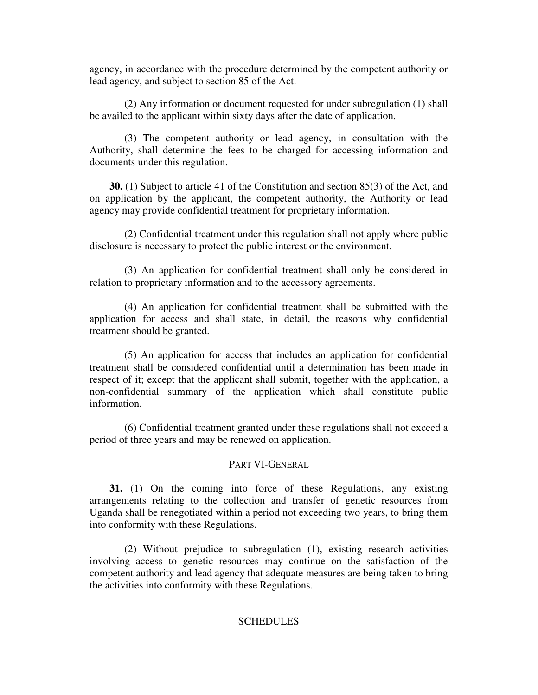agency, in accordance with the procedure determined by the competent authority or lead agency, and subject to section 85 of the Act.

(2) Any information or document requested for under subregulation (1) shall be availed to the applicant within sixty days after the date of application.

(3) The competent authority or lead agency, in consultation with the Authority, shall determine the fees to be charged for accessing information and documents under this regulation.

**30.** (1) Subject to article 41 of the Constitution and section 85(3) of the Act, and on application by the applicant, the competent authority, the Authority or lead agency may provide confidential treatment for proprietary information.

(2) Confidential treatment under this regulation shall not apply where public disclosure is necessary to protect the public interest or the environment.

(3) An application for confidential treatment shall only be considered in relation to proprietary information and to the accessory agreements.

(4) An application for confidential treatment shall be submitted with the application for access and shall state, in detail, the reasons why confidential treatment should be granted.

(5) An application for access that includes an application for confidential treatment shall be considered confidential until a determination has been made in respect of it; except that the applicant shall submit, together with the application, a non-confidential summary of the application which shall constitute public information.

(6) Confidential treatment granted under these regulations shall not exceed a period of three years and may be renewed on application.

# PART VI-GENERAL

**31.** (1) On the coming into force of these Regulations, any existing arrangements relating to the collection and transfer of genetic resources from Uganda shall be renegotiated within a period not exceeding two years, to bring them into conformity with these Regulations.

(2) Without prejudice to subregulation (1), existing research activities involving access to genetic resources may continue on the satisfaction of the competent authority and lead agency that adequate measures are being taken to bring the activities into conformity with these Regulations.

# **SCHEDULES**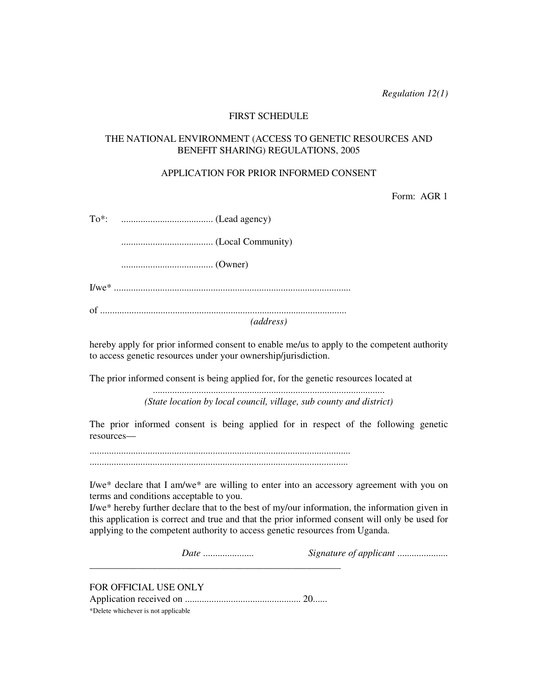*Regulation 12(1)*

# FIRST SCHEDULE

# THE NATIONAL ENVIRONMENT (ACCESS TO GENETIC RESOURCES AND BENEFIT SHARING) REGULATIONS, 2005

### APPLICATION FOR PRIOR INFORMED CONSENT

Form: AGR 1

| (address) |  |  |
|-----------|--|--|
|           |  |  |

hereby apply for prior informed consent to enable me/us to apply to the competent authority to access genetic resources under your ownership/jurisdiction.

The prior informed consent is being applied for, for the genetic resources located at

................................................................................................ *(State location by local council, village, sub county and district)*

The prior informed consent is being applied for in respect of the following genetic resources—

............................................................................................................

...........................................................................................................

I/we\* declare that I am/we\* are willing to enter into an accessory agreement with you on terms and conditions acceptable to you.

I/we\* hereby further declare that to the best of my/our information, the information given in this application is correct and true and that the prior informed consent will only be used for applying to the competent authority to access genetic resources from Uganda.

*Date* ..................... *Signature of applicant* .....................

FOR OFFICIAL USE ONLY

Application received on ................................................ 20......

\_\_\_\_\_\_\_\_\_\_\_\_\_\_\_\_\_\_\_\_\_\_\_\_\_\_\_\_\_\_\_\_\_\_\_\_\_\_\_\_\_\_\_\_\_\_\_\_\_\_\_\_

\*Delete whichever is not applicable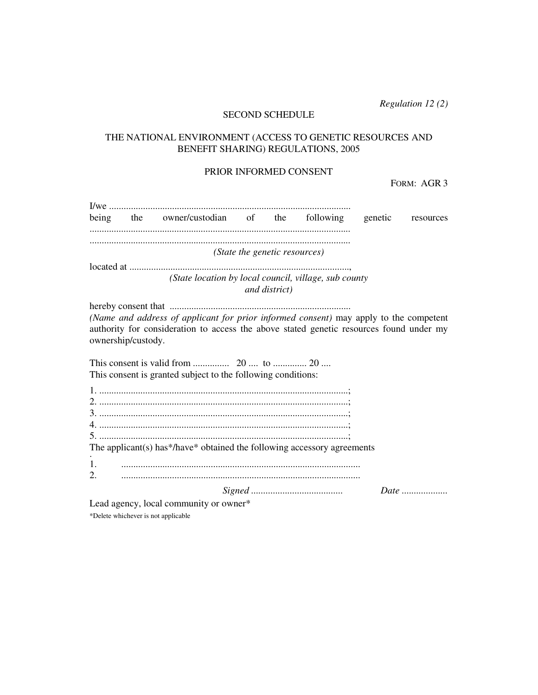*Regulation 12 (2)*

# SECOND SCHEDULE

# THE NATIONAL ENVIRONMENT (ACCESS TO GENETIC RESOURCES AND BENEFIT SHARING) REGULATIONS, 2005

### PRIOR INFORMED CONSENT

FORM: AGR 3

|    |                    | being the owner/custodian of the following                                                                                                                                       |                               | genetic | resources |
|----|--------------------|----------------------------------------------------------------------------------------------------------------------------------------------------------------------------------|-------------------------------|---------|-----------|
|    |                    |                                                                                                                                                                                  |                               |         |           |
|    |                    |                                                                                                                                                                                  | (State the genetic resources) |         |           |
|    |                    |                                                                                                                                                                                  |                               |         |           |
|    |                    | (State location by local council, village, sub county                                                                                                                            | and district)                 |         |           |
|    |                    |                                                                                                                                                                                  |                               |         |           |
|    | ownership/custody. | (Name and address of applicant for prior informed consent) may apply to the competent<br>authority for consideration to access the above stated genetic resources found under my |                               |         |           |
|    |                    |                                                                                                                                                                                  |                               |         |           |
|    |                    | This consent is granted subject to the following conditions:                                                                                                                     |                               |         |           |
|    |                    |                                                                                                                                                                                  |                               |         |           |
|    |                    |                                                                                                                                                                                  |                               |         |           |
|    |                    |                                                                                                                                                                                  |                               |         |           |
|    |                    |                                                                                                                                                                                  |                               |         |           |
|    |                    |                                                                                                                                                                                  |                               |         |           |
|    |                    | The applicant(s) has*/have* obtained the following accessory agreements                                                                                                          |                               |         |           |
|    |                    |                                                                                                                                                                                  |                               |         |           |
| 1. |                    |                                                                                                                                                                                  |                               |         |           |
| 2. |                    |                                                                                                                                                                                  |                               |         |           |
|    |                    |                                                                                                                                                                                  |                               |         |           |
|    |                    | Lead agency, local community or owner*                                                                                                                                           |                               |         |           |

\*Delete whichever is not applicable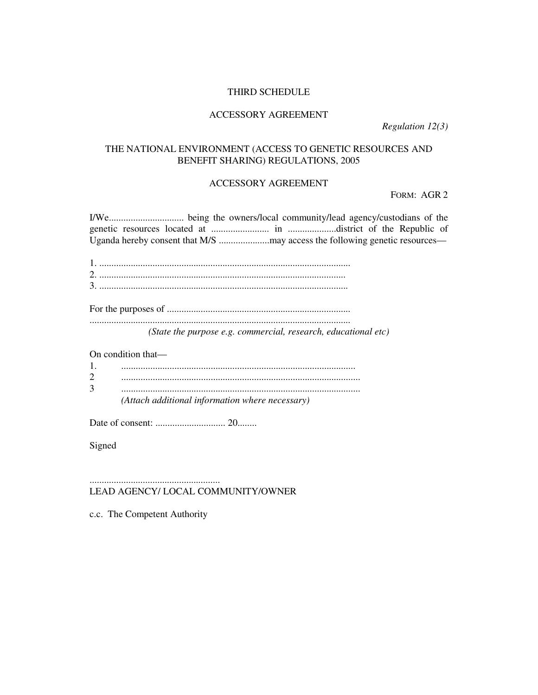### THIRD SCHEDULE

# ACCESSORY AGREEMENT

*Regulation 12(3)* 

# THE NATIONAL ENVIRONMENT (ACCESS TO GENETIC RESOURCES AND BENEFIT SHARING) REGULATIONS, 2005

# ACCESSORY AGREEMENT

FORM: AGR 2

I/We............................... being the owners/local community/lead agency/custodians of the genetic resources located at ........................ in ....................district of the Republic of Uganda hereby consent that M/S .....................may access the following genetic resources—

For the purposes of ............................................................................ ............................................................................................................ *(State the purpose e.g. commercial, research, educational etc)* 

On condition that—

| (Attach additional information where necessary) |
|-------------------------------------------------|

Date of consent: ............................. 20........

Signed

# LEAD AGENCY/ LOCAL COMMUNITY/OWNER

c.c. The Competent Authority

......................................................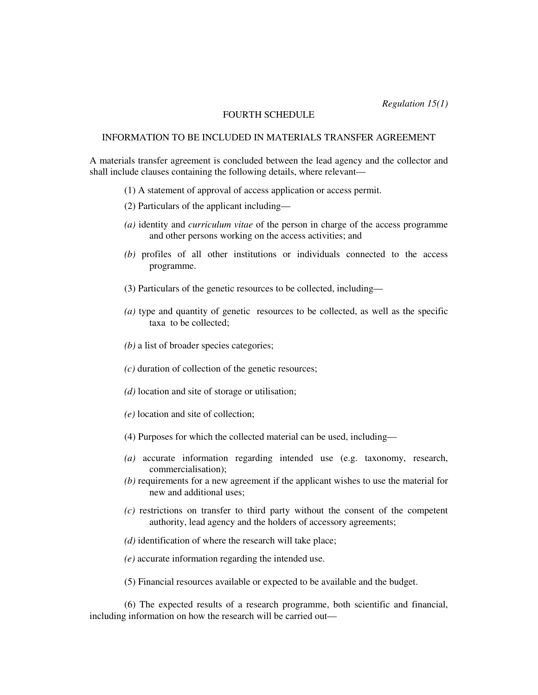*Regulation 15(1)*

#### FOURTH SCHEDULE

# INFORMATION TO BE INCLUDED IN MATERIALS TRANSFER AGREEMENT

A materials transfer agreement is concluded between the lead agency and the collector and shall include clauses containing the following details, where relevant—

- (1) A statement of approval of access application or access permit.
- (2) Particulars of the applicant including—
- *(a)* identity and *curriculum vitae* of the person in charge of the access programme and other persons working on the access activities; and
- *(b)* profiles of all other institutions or individuals connected to the access programme.
- (3) Particulars of the genetic resources to be collected, including—
- *(a)* type and quantity of genetic resources to be collected, as well as the specific taxa to be collected;
- *(b)* a list of broader species categories;
- *(c)* duration of collection of the genetic resources;
- *(d)* location and site of storage or utilisation;
- *(e)* location and site of collection;
- (4) Purposes for which the collected material can be used, including—
- *(a)* accurate information regarding intended use (e.g. taxonomy, research, commercialisation);
- *(b)* requirements for a new agreement if the applicant wishes to use the material for new and additional uses;
- *(c)* restrictions on transfer to third party without the consent of the competent authority, lead agency and the holders of accessory agreements;
- *(d)* identification of where the research will take place;
- *(e)* accurate information regarding the intended use.
- (5) Financial resources available or expected to be available and the budget.

(6) The expected results of a research programme, both scientific and financial, including information on how the research will be carried out—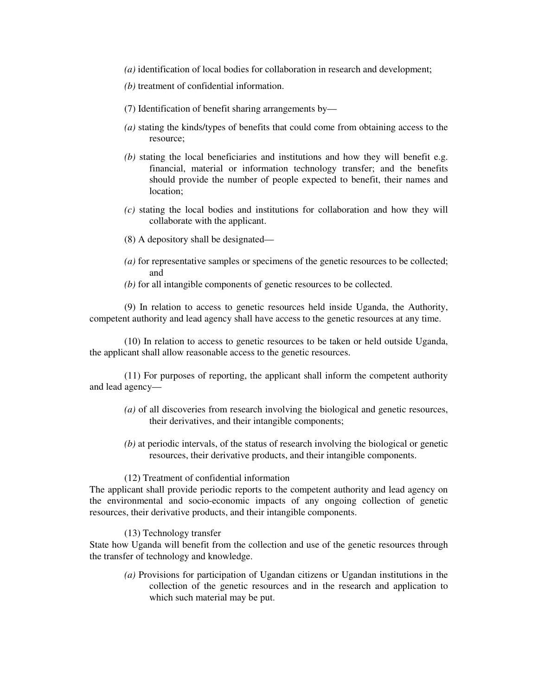- *(a)* identification of local bodies for collaboration in research and development;
- *(b)* treatment of confidential information.
- (7) Identification of benefit sharing arrangements by—
- *(a)* stating the kinds/types of benefits that could come from obtaining access to the resource;
- *(b)* stating the local beneficiaries and institutions and how they will benefit e.g. financial, material or information technology transfer; and the benefits should provide the number of people expected to benefit, their names and location;
- *(c)* stating the local bodies and institutions for collaboration and how they will collaborate with the applicant.
- (8) A depository shall be designated—
- *(a)* for representative samples or specimens of the genetic resources to be collected; and
- *(b)* for all intangible components of genetic resources to be collected.

(9) In relation to access to genetic resources held inside Uganda, the Authority, competent authority and lead agency shall have access to the genetic resources at any time.

(10) In relation to access to genetic resources to be taken or held outside Uganda, the applicant shall allow reasonable access to the genetic resources.

(11) For purposes of reporting, the applicant shall inform the competent authority and lead agency—

- *(a)* of all discoveries from research involving the biological and genetic resources, their derivatives, and their intangible components;
- *(b)* at periodic intervals, of the status of research involving the biological or genetic resources, their derivative products, and their intangible components.

### (12) Treatment of confidential information

The applicant shall provide periodic reports to the competent authority and lead agency on the environmental and socio-economic impacts of any ongoing collection of genetic resources, their derivative products, and their intangible components.

(13) Technology transfer

State how Uganda will benefit from the collection and use of the genetic resources through the transfer of technology and knowledge.

*(a)* Provisions for participation of Ugandan citizens or Ugandan institutions in the collection of the genetic resources and in the research and application to which such material may be put.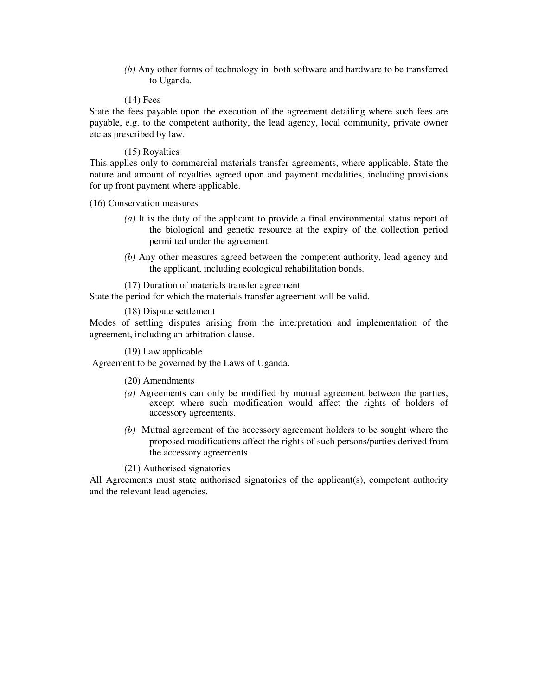*(b)* Any other forms of technology in both software and hardware to be transferred to Uganda.

#### (14) Fees

State the fees payable upon the execution of the agreement detailing where such fees are payable, e.g. to the competent authority, the lead agency, local community, private owner etc as prescribed by law.

### (15) Royalties

This applies only to commercial materials transfer agreements, where applicable. State the nature and amount of royalties agreed upon and payment modalities, including provisions for up front payment where applicable.

(16) Conservation measures

- *(a)* It is the duty of the applicant to provide a final environmental status report of the biological and genetic resource at the expiry of the collection period permitted under the agreement.
- *(b)* Any other measures agreed between the competent authority, lead agency and the applicant, including ecological rehabilitation bonds.

(17) Duration of materials transfer agreement

State the period for which the materials transfer agreement will be valid.

(18) Dispute settlement

Modes of settling disputes arising from the interpretation and implementation of the agreement, including an arbitration clause.

(19) Law applicable

Agreement to be governed by the Laws of Uganda.

(20) Amendments

- *(a)* Agreements can only be modified by mutual agreement between the parties, except where such modification would affect the rights of holders of accessory agreements.
- *(b)* Mutual agreement of the accessory agreement holders to be sought where the proposed modifications affect the rights of such persons/parties derived from the accessory agreements.

(21) Authorised signatories

All Agreements must state authorised signatories of the applicant(s), competent authority and the relevant lead agencies.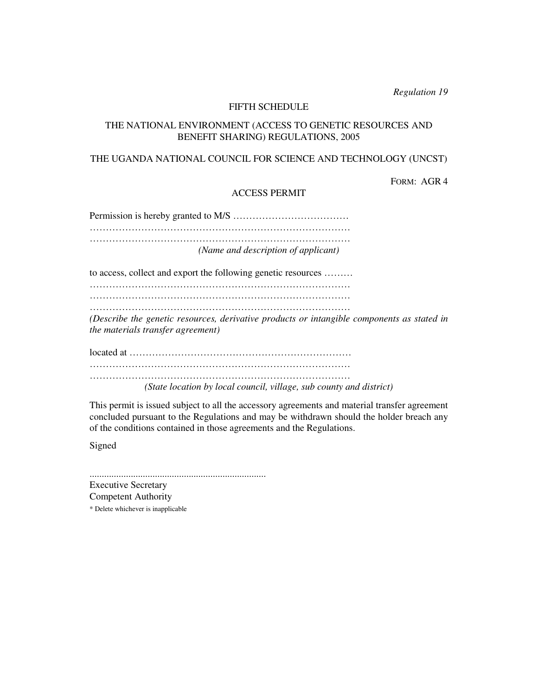*Regulation 19*

### FIFTH SCHEDULE

# THE NATIONAL ENVIRONMENT (ACCESS TO GENETIC RESOURCES AND BENEFIT SHARING) REGULATIONS, 2005

# THE UGANDA NATIONAL COUNCIL FOR SCIENCE AND TECHNOLOGY (UNCST)

FORM: AGR 4

# ACCESS PERMIT

Permission is hereby granted to M/S ……………………………… ……………………………………………………………………… ……………………………………………………………………… *(Name and description of applicant)*

to access, collect and export the following genetic resources ………

……………………………………………………………………… ………………………………………………………………………

………………………………………………………………………

*(Describe the genetic resources, derivative products or intangible components as stated in the materials transfer agreement)*

located at …………………………………………………………… ………………………………………………………………………

……………………………………………………………………… *(State location by local council, village, sub county and district)*

This permit is issued subject to all the accessory agreements and material transfer agreement concluded pursuant to the Regulations and may be withdrawn should the holder breach any of the conditions contained in those agreements and the Regulations.

Signed

......................................................................... Executive Secretary Competent Authority \* Delete whichever is inapplicable